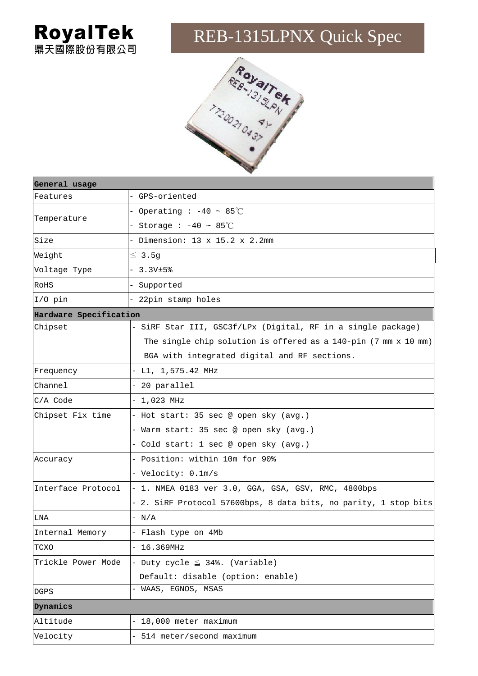



| General usage          |                                                                    |  |
|------------------------|--------------------------------------------------------------------|--|
| Features               | - GPS-oriented                                                     |  |
| Temperature            | - Operating : -40 ~ 85 $^{\circ}\textrm{C}$                        |  |
|                        | - Storage : -40 ~ $85^{\circ}$ C                                   |  |
| Size                   | - Dimension: $13 \times 15.2 \times 2.2$ mm                        |  |
| Weight                 | $\leq 3.5g$                                                        |  |
| Voltage Type           | $-3.3V±5%$                                                         |  |
| ROHS                   | - Supported                                                        |  |
| $I/O$ pin              | - 22pin stamp holes                                                |  |
| Hardware Specification |                                                                    |  |
| Chipset                | - SiRF Star III, GSC3f/LPx (Digital, RF in a single package)       |  |
|                        | The single chip solution is offered as a $140$ -pin (7 mm x 10 mm) |  |
|                        | BGA with integrated digital and RF sections.                       |  |
| Frequency              | - L1, 1,575.42 MHz                                                 |  |
| Channel                | - 20 parallel                                                      |  |
| $C/A$ Code             | $-1,023$ MHz                                                       |  |
| Chipset Fix time       | - Hot start: 35 sec @ open sky (avg.)                              |  |
|                        | - Warm start: 35 sec @ open sky (avg.)                             |  |
|                        | - Cold start: 1 sec @ open sky (avg.)                              |  |
| Accuracy               | - Position: within 10m for 90%                                     |  |
|                        | - Velocity: 0.1m/s                                                 |  |
| Interface Protocol     | - 1. NMEA 0183 ver 3.0, GGA, GSA, GSV, RMC, 4800bps                |  |
|                        | - 2. SiRF Protocol 57600bps, 8 data bits, no parity, 1 stop bits   |  |
| LNA                    | $- N/A$                                                            |  |
| Internal Memory        | - Flash type on 4Mb                                                |  |
| TCXO                   | 16.369MHz                                                          |  |
| Trickle Power Mode     | - Duty cycle $\leq$ 34%. (Variable)                                |  |
|                        | Default: disable (option: enable)                                  |  |
| DGPS                   | - WAAS, EGNOS, MSAS                                                |  |
| Dynamics               |                                                                    |  |
| Altitude               | 18,000 meter maximum                                               |  |
| Velocity               | 514 meter/second maximum                                           |  |